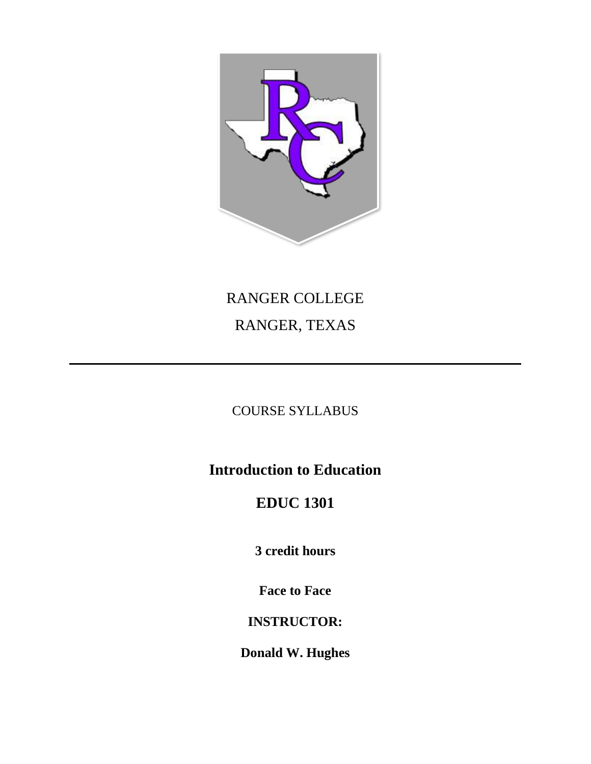

# RANGER COLLEGE RANGER, TEXAS

## COURSE SYLLABUS

## **Introduction to Education**

## **EDUC 1301**

**3 credit hours**

**Face to Face** 

## **INSTRUCTOR:**

**Donald W. Hughes**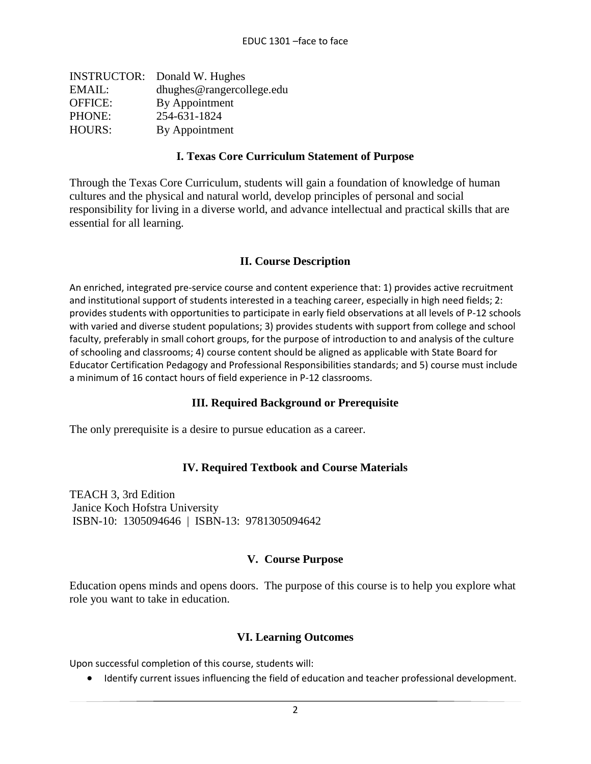| <b>INSTRUCTOR:</b> Donald W. Hughes |
|-------------------------------------|
| dhughes@rangercollege.edu           |
| By Appointment                      |
| 254-631-1824                        |
| By Appointment                      |
|                                     |

#### **I. Texas Core Curriculum Statement of Purpose**

Through the Texas Core Curriculum, students will gain a foundation of knowledge of human cultures and the physical and natural world, develop principles of personal and social responsibility for living in a diverse world, and advance intellectual and practical skills that are essential for all learning.

#### **II. Course Description**

An enriched, integrated pre-service course and content experience that: 1) provides active recruitment and institutional support of students interested in a teaching career, especially in high need fields; 2: provides students with opportunities to participate in early field observations at all levels of P-12 schools with varied and diverse student populations; 3) provides students with support from college and school faculty, preferably in small cohort groups, for the purpose of introduction to and analysis of the culture of schooling and classrooms; 4) course content should be aligned as applicable with State Board for Educator Certification Pedagogy and Professional Responsibilities standards; and 5) course must include a minimum of 16 contact hours of field experience in P-12 classrooms.

#### **III. Required Background or Prerequisite**

The only prerequisite is a desire to pursue education as a career.

#### **IV. Required Textbook and Course Materials**

TEACH 3, 3rd Edition Janice Koch Hofstra University ISBN-10: 1305094646 | ISBN-13: 9781305094642

#### **V. Course Purpose**

Education opens minds and opens doors. The purpose of this course is to help you explore what role you want to take in education.

#### **VI. Learning Outcomes**

Upon successful completion of this course, students will:

• Identify current issues influencing the field of education and teacher professional development.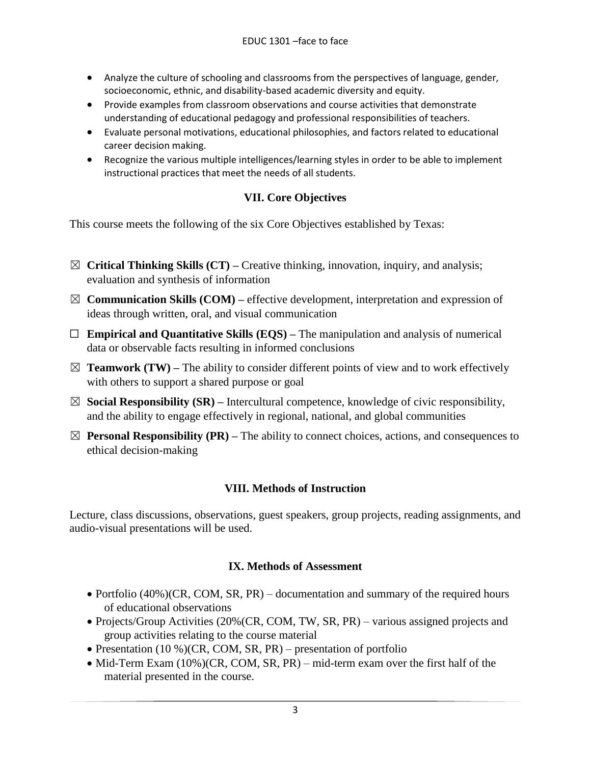- Analyze the culture of schooling and classrooms from the perspectives of language, gender, socioeconomic, ethnic, and disability-based academic diversity and equity.
- Provide examples from classroom observations and course activities that demonstrate understanding of educational pedagogy and professional responsibilities of teachers.
- Evaluate personal motivations, educational philosophies, and factors related to educational career decision making.
- Recognize the various multiple intelligences/learning styles in order to be able to implement instructional practices that meet the needs of all students.

## **VII. Core Objectives**

This course meets the following of the six Core Objectives established by Texas:

- ☒ **Critical Thinking Skills (CT) –** Creative thinking, innovation, inquiry, and analysis; evaluation and synthesis of information
- $\boxtimes$  **Communication Skills (COM)** effective development, interpretation and expression of ideas through written, oral, and visual communication
- ☐ **Empirical and Quantitative Skills (EQS) –** The manipulation and analysis of numerical data or observable facts resulting in informed conclusions
- $\boxtimes$  **Teamwork (TW)** The ability to consider different points of view and to work effectively with others to support a shared purpose or goal
- ☒ **Social Responsibility (SR) –** Intercultural competence, knowledge of civic responsibility, and the ability to engage effectively in regional, national, and global communities
- $\boxtimes$  **Personal Responsibility (PR)** The ability to connect choices, actions, and consequences to ethical decision-making

## **VIII. Methods of Instruction**

Lecture, class discussions, observations, guest speakers, group projects, reading assignments, and audio-visual presentations will be used.

## **IX. Methods of Assessment**

- Portfolio (40%)(CR, COM, SR, PR) documentation and summary of the required hours of educational observations
- Projects/Group Activities (20%(CR, COM, TW, SR, PR) various assigned projects and group activities relating to the course material
- Presentation (10 %)(CR, COM, SR, PR) presentation of portfolio
- Mid-Term Exam (10%)(CR, COM, SR, PR) mid-term exam over the first half of the material presented in the course.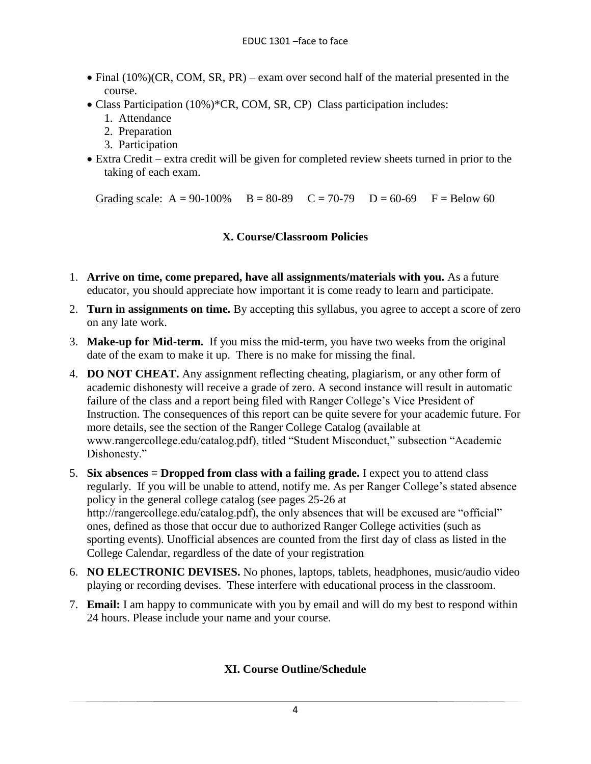- Final (10%)(CR, COM, SR, PR) exam over second half of the material presented in the course.
- Class Participation (10%)\*CR, COM, SR, CP) Class participation includes:
	- 1. Attendance
	- 2. Preparation
	- 3. Participation
- Extra Credit extra credit will be given for completed review sheets turned in prior to the taking of each exam.

Grading scale:  $A = 90-100\%$   $B = 80-89$   $C = 70-79$   $D = 60-69$   $F = Below 60$ 

#### **X. Course/Classroom Policies**

- 1. **Arrive on time, come prepared, have all assignments/materials with you.** As a future educator, you should appreciate how important it is come ready to learn and participate.
- 2. **Turn in assignments on time.** By accepting this syllabus, you agree to accept a score of zero on any late work.
- 3. **Make-up for Mid-term.** If you miss the mid-term, you have two weeks from the original date of the exam to make it up. There is no make for missing the final.
- 4. **DO NOT CHEAT.** Any assignment reflecting cheating, plagiarism, or any other form of academic dishonesty will receive a grade of zero. A second instance will result in automatic failure of the class and a report being filed with Ranger College's Vice President of Instruction. The consequences of this report can be quite severe for your academic future. For more details, see the section of the Ranger College Catalog (available at www.rangercollege.edu/catalog.pdf), titled "Student Misconduct," subsection "Academic Dishonesty."
- 5. **Six absences = Dropped from class with a failing grade.** I expect you to attend class regularly. If you will be unable to attend, notify me. As per Ranger College's stated absence policy in the general college catalog (see pages 25-26 at http://rangercollege.edu/catalog.pdf), the only absences that will be excused are "official" ones, defined as those that occur due to authorized Ranger College activities (such as sporting events). Unofficial absences are counted from the first day of class as listed in the College Calendar, regardless of the date of your registration
- 6. **NO ELECTRONIC DEVISES.** No phones, laptops, tablets, headphones, music/audio video playing or recording devises. These interfere with educational process in the classroom.
- 7. **Email:** I am happy to communicate with you by email and will do my best to respond within 24 hours. Please include your name and your course.

## **XI. Course Outline/Schedule**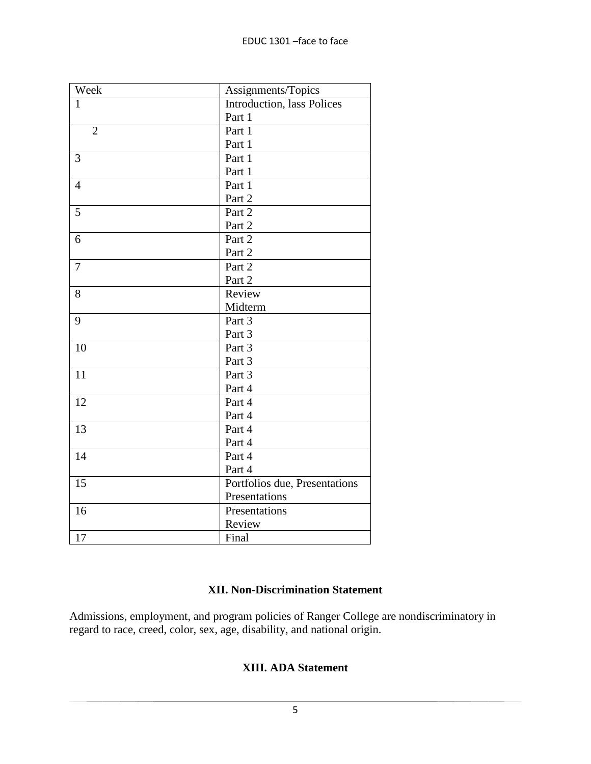| Week           | Assignments/Topics            |
|----------------|-------------------------------|
| $\mathbf{1}$   | Introduction, lass Polices    |
|                | Part 1                        |
| $\overline{2}$ | Part 1                        |
|                | Part 1                        |
| 3              | Part 1                        |
|                | Part 1                        |
| $\overline{4}$ | Part 1                        |
|                | Part 2                        |
| 5              | Part 2                        |
|                | Part 2                        |
| 6              | Part 2                        |
|                | Part 2                        |
| 7              | Part 2                        |
|                | Part 2                        |
| 8              | Review                        |
|                | Midterm                       |
| 9              | Part 3                        |
|                | Part 3                        |
| 10             | Part 3                        |
|                | Part 3                        |
| 11             | Part 3                        |
|                | Part 4                        |
| 12             | Part 4                        |
|                | Part 4                        |
| 13             | Part 4                        |
|                | Part 4                        |
| 14             | Part 4                        |
|                | Part 4                        |
| 15             | Portfolios due, Presentations |
|                | Presentations                 |
| 16             | Presentations                 |
|                | Review                        |
| 17             | Final                         |

## **XII. Non-Discrimination Statement**

Admissions, employment, and program policies of Ranger College are nondiscriminatory in regard to race, creed, color, sex, age, disability, and national origin.

## **XIII. ADA Statement**